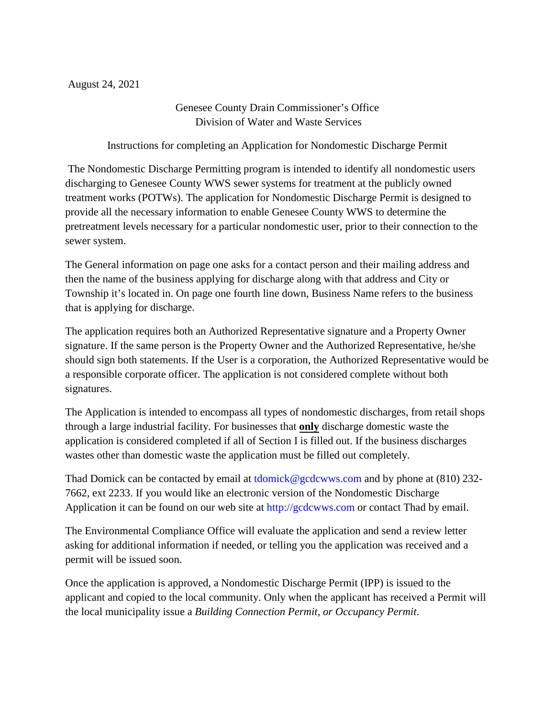August 24, 2021

Genesee County Drain Commissioner's Office Division of Water and Waste Services

Instructions for completing an Application for Nondomestic Discharge Permit

 The Nondomestic Discharge Permitting program is intended to identify all nondomestic users discharging to Genesee County WWS sewer systems for treatment at the publicly owned treatment works (POTWs). The application for Nondomestic Discharge Permit is designed to provide all the necessary information to enable Genesee County WWS to determine the pretreatment levels necessary for a particular nondomestic user, prior to their connection to the sewer system.

The General information on page one asks for a contact person and their mailing address and then the name of the business applying for discharge along with that address and City or Township it's located in. On page one fourth line down, Business Name refers to the business that is applying for discharge.

The application requires both an Authorized Representative signature and a Property Owner signature. If the same person is the Property Owner and the Authorized Representative, he/she should sign both statements. If the User is a corporation, the Authorized Representative would be a responsible corporate officer. The application is not considered complete without both signatures.

The Application is intended to encompass all types of nondomestic discharges, from retail shops through a large industrial facility. For businesses that **only** discharge domestic waste the application is considered completed if all of Section I is filled out. If the business discharges wastes other than domestic waste the application must be filled out completely.

Thad Domick can be contacted by email at tdomick@gcdcwws.com and by phone at (810) 232- 7662, ext 2233. If you would like an electronic version of the Nondomestic Discharge Application it can be found on our web site at http://gcdcwws.com or contact Thad by email.

The Environmental Compliance Office will evaluate the application and send a review letter asking for additional information if needed, or telling you the application was received and a permit will be issued soon.

Once the application is approved, a Nondomestic Discharge Permit (IPP) is issued to the applicant and copied to the local community. Only when the applicant has received a Permit will the local municipality issue a *Building Connection Permit, or Occupancy Permit*.